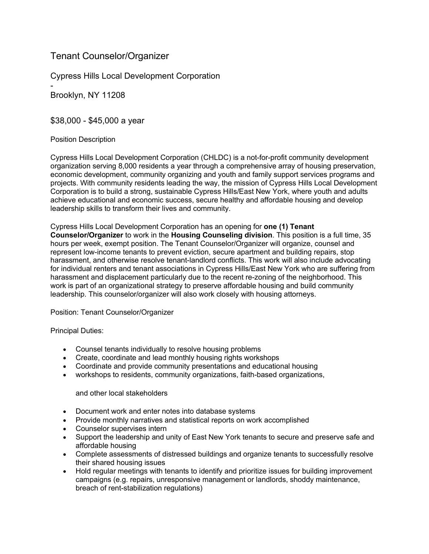# Tenant Counselor/Organizer

Cypress Hills Local Development Corporation

- Brooklyn, NY 11208

\$38,000 - \$45,000 a year

# Position Description

Cypress Hills Local Development Corporation (CHLDC) is a not-for-profit community development organization serving 8,000 residents a year through a comprehensive array of housing preservation, economic development, community organizing and youth and family support services programs and projects. With community residents leading the way, the mission of Cypress Hills Local Development Corporation is to build a strong, sustainable Cypress Hills/East New York, where youth and adults achieve educational and economic success, secure healthy and affordable housing and develop leadership skills to transform their lives and community.

Cypress Hills Local Development Corporation has an opening for **one (1) Tenant Counselor/Organizer** to work in the **Housing Counseling division**. This position is a full time, 35 hours per week, exempt position. The Tenant Counselor/Organizer will organize, counsel and represent low-income tenants to prevent eviction, secure apartment and building repairs, stop harassment, and otherwise resolve tenant-landlord conflicts. This work will also include advocating for individual renters and tenant associations in Cypress Hills/East New York who are suffering from harassment and displacement particularly due to the recent re-zoning of the neighborhood. This work is part of an organizational strategy to preserve affordable housing and build community leadership. This counselor/organizer will also work closely with housing attorneys.

Position: Tenant Counselor/Organizer

Principal Duties:

- Counsel tenants individually to resolve housing problems
- Create, coordinate and lead monthly housing rights workshops
- Coordinate and provide community presentations and educational housing
- workshops to residents, community organizations, faith-based organizations,

and other local stakeholders

- Document work and enter notes into database systems
- Provide monthly narratives and statistical reports on work accomplished
- Counselor supervises intern
- Support the leadership and unity of East New York tenants to secure and preserve safe and affordable housing
- Complete assessments of distressed buildings and organize tenants to successfully resolve their shared housing issues
- Hold regular meetings with tenants to identify and prioritize issues for building improvement campaigns (e.g. repairs, unresponsive management or landlords, shoddy maintenance, breach of rent-stabilization regulations)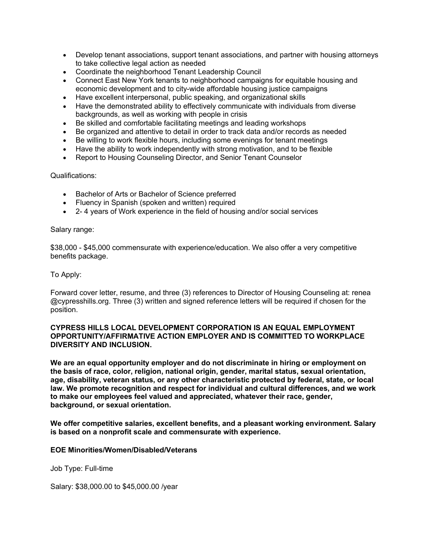- Develop tenant associations, support tenant associations, and partner with housing attorneys to take collective legal action as needed
- Coordinate the neighborhood Tenant Leadership Council
- Connect East New York tenants to neighborhood campaigns for equitable housing and economic development and to city-wide affordable housing justice campaigns
- Have excellent interpersonal, public speaking, and organizational skills
- Have the demonstrated ability to effectively communicate with individuals from diverse backgrounds, as well as working with people in crisis
- Be skilled and comfortable facilitating meetings and leading workshops
- Be organized and attentive to detail in order to track data and/or records as needed
- Be willing to work flexible hours, including some evenings for tenant meetings
- Have the ability to work independently with strong motivation, and to be flexible
- Report to Housing Counseling Director, and Senior Tenant Counselor

#### Qualifications:

- Bachelor of Arts or Bachelor of Science preferred
- Fluency in Spanish (spoken and written) required
- 2- 4 years of Work experience in the field of housing and/or social services

#### Salary range:

\$38,000 - \$45,000 commensurate with experience/education. We also offer a very competitive benefits package.

#### To Apply:

Forward cover letter, resume, and three (3) references to Director of Housing Counseling at: renea @cypresshills.org. Three (3) written and signed reference letters will be required if chosen for the position.

#### **CYPRESS HILLS LOCAL DEVELOPMENT CORPORATION IS AN EQUAL EMPLOYMENT OPPORTUNITY/AFFIRMATIVE ACTION EMPLOYER AND IS COMMITTED TO WORKPLACE DIVERSITY AND INCLUSION.**

**We are an equal opportunity employer and do not discriminate in hiring or employment on the basis of race, color, religion, national origin, gender, marital status, sexual orientation, age, disability, veteran status, or any other characteristic protected by federal, state, or local law. We promote recognition and respect for individual and cultural differences, and we work to make our employees feel valued and appreciated, whatever their race, gender, background, or sexual orientation.**

**We offer competitive salaries, excellent benefits, and a pleasant working environment. Salary is based on a nonprofit scale and commensurate with experience.**

## **EOE Minorities/Women/Disabled/Veterans**

Job Type: Full-time

Salary: \$38,000.00 to \$45,000.00 /year